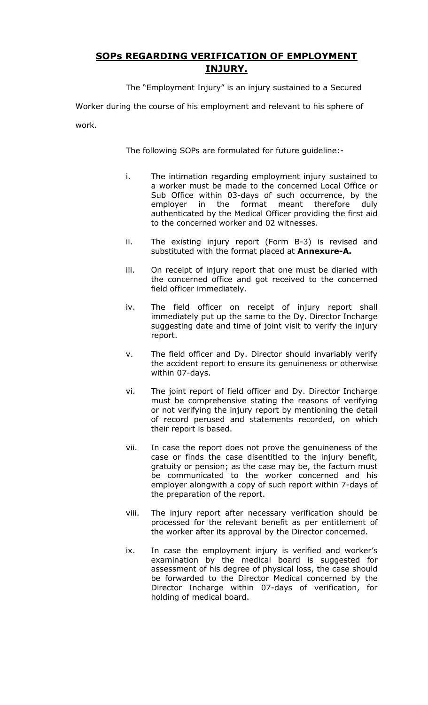## **SOPs REGARDING VERIFICATION OF EMPLOYMENT INJURY.**

The "Employment Injury" is an injury sustained to a Secured

Worker during the course of his employment and relevant to his sphere of

work.

The following SOPs are formulated for future guideline:-

- i. The intimation regarding employment injury sustained to a worker must be made to the concerned Local Office or Sub Office within 03-days of such occurrence, by the employer in the format meant therefore duly authenticated by the Medical Officer providing the first aid to the concerned worker and 02 witnesses.
- ii. The existing injury report (Form B-3) is revised and substituted with the format placed at **Annexure-A.**
- iii. On receipt of injury report that one must be diaried with the concerned office and got received to the concerned field officer immediately.
- iv. The field officer on receipt of injury report shall immediately put up the same to the Dy. Director Incharge suggesting date and time of joint visit to verify the injury report.
- v. The field officer and Dy. Director should invariably verify the accident report to ensure its genuineness or otherwise within 07-days.
- vi. The joint report of field officer and Dy. Director Incharge must be comprehensive stating the reasons of verifying or not verifying the injury report by mentioning the detail of record perused and statements recorded, on which their report is based.
- vii. In case the report does not prove the genuineness of the case or finds the case disentitled to the injury benefit, gratuity or pension; as the case may be, the factum must be communicated to the worker concerned and his employer alongwith a copy of such report within 7-days of the preparation of the report.
- viii. The injury report after necessary verification should be processed for the relevant benefit as per entitlement of the worker after its approval by the Director concerned.
- ix. In case the employment injury is verified and worker's examination by the medical board is suggested for assessment of his degree of physical loss, the case should be forwarded to the Director Medical concerned by the Director Incharge within 07-days of verification, for holding of medical board.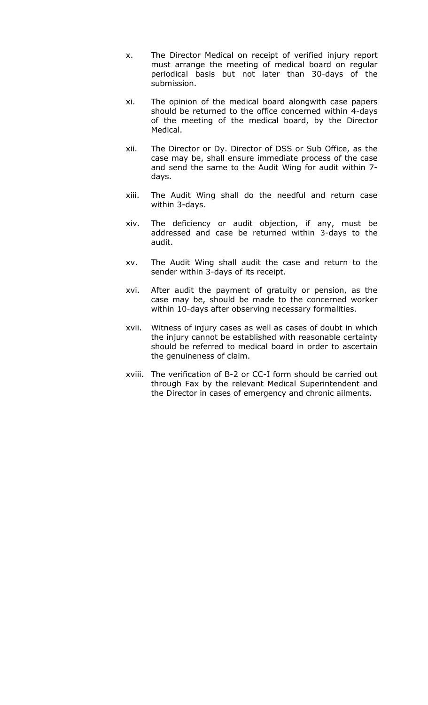- x. The Director Medical on receipt of verified injury report must arrange the meeting of medical board on regular periodical basis but not later than 30-days of the submission.
- xi. The opinion of the medical board alongwith case papers should be returned to the office concerned within 4-days of the meeting of the medical board, by the Director Medical.
- xii. The Director or Dy. Director of DSS or Sub Office, as the case may be, shall ensure immediate process of the case and send the same to the Audit Wing for audit within 7 days.
- xiii. The Audit Wing shall do the needful and return case within 3-days.
- xiv. The deficiency or audit objection, if any, must be addressed and case be returned within 3-days to the audit.
- xv. The Audit Wing shall audit the case and return to the sender within 3-days of its receipt.
- xvi. After audit the payment of gratuity or pension, as the case may be, should be made to the concerned worker within 10-days after observing necessary formalities.
- xvii. Witness of injury cases as well as cases of doubt in which the injury cannot be established with reasonable certainty should be referred to medical board in order to ascertain the genuineness of claim.
- xviii. The verification of B-2 or CC-I form should be carried out through Fax by the relevant Medical Superintendent and the Director in cases of emergency and chronic ailments.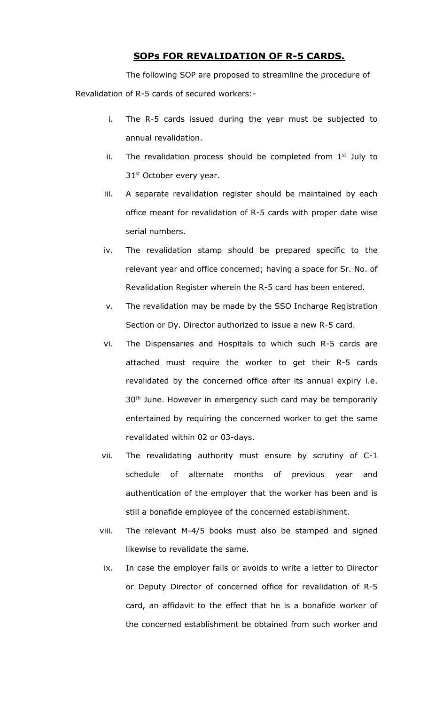## **SOPs FOR REVALIDATION OF R-5 CARDS.**

The following SOP are proposed to streamline the procedure of Revalidation of R-5 cards of secured workers:-

- i. The R-5 cards issued during the year must be subjected to annual revalidation.
- ii. The revalidation process should be completed from  $1<sup>st</sup>$  July to 31<sup>st</sup> October every year.
- iii. A separate revalidation register should be maintained by each office meant for revalidation of R-5 cards with proper date wise serial numbers.
- iv. The revalidation stamp should be prepared specific to the relevant year and office concerned; having a space for Sr. No. of Revalidation Register wherein the R-5 card has been entered.
- v. The revalidation may be made by the SSO Incharge Registration Section or Dy. Director authorized to issue a new R-5 card.
- vi. The Dispensaries and Hospitals to which such R-5 cards are attached must require the worker to get their R-5 cards revalidated by the concerned office after its annual expiry i.e. 30<sup>th</sup> June. However in emergency such card may be temporarily entertained by requiring the concerned worker to get the same revalidated within 02 or 03-days.
- vii. The revalidating authority must ensure by scrutiny of C-1 schedule of alternate months of previous year and authentication of the employer that the worker has been and is still a bonafide employee of the concerned establishment.
- viii. The relevant M-4/5 books must also be stamped and signed likewise to revalidate the same.
- ix. In case the employer fails or avoids to write a letter to Director or Deputy Director of concerned office for revalidation of R-5 card, an affidavit to the effect that he is a bonafide worker of the concerned establishment be obtained from such worker and